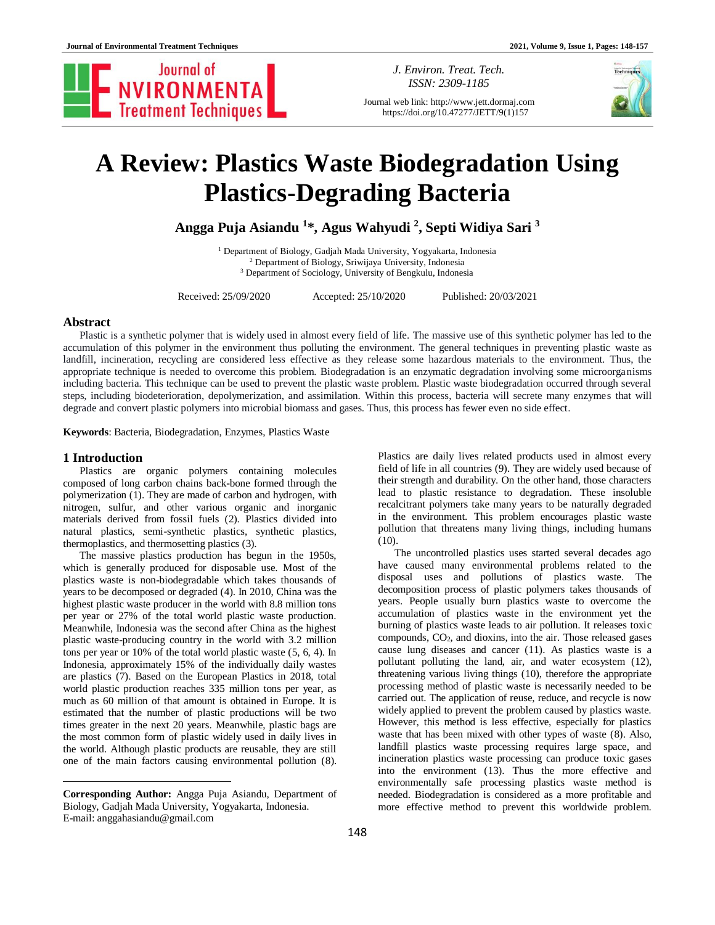

*J. Environ. Treat. Tech. ISSN: 2309-1185*

Journal web link: http://www.jett.dormaj.com https://doi.org/10.47277/JETT/9(1)157



# **A Review: Plastics Waste Biodegradation Using Plastics-Degrading Bacteria**

**Angga Puja Asiandu <sup>1</sup> \*, Agus Wahyudi <sup>2</sup> , Septi Widiya Sari <sup>3</sup>**

<sup>1</sup> Department of Biology, Gadjah Mada University, Yogyakarta, Indonesia <sup>2</sup> Department of Biology, Sriwijaya University, Indonesia <sup>3</sup> Department of Sociology, University of Bengkulu, Indonesia

Received: 25/09/2020 Accepted: 25/10/2020 Published: 20/03/2021

## **Abstract**

Plastic is a synthetic polymer that is widely used in almost every field of life. The massive use of this synthetic polymer has led to the accumulation of this polymer in the environment thus polluting the environment. The general techniques in preventing plastic waste as landfill, incineration, recycling are considered less effective as they release some hazardous materials to the environment. Thus, the appropriate technique is needed to overcome this problem. Biodegradation is an enzymatic degradation involving some microorganisms including bacteria. This technique can be used to prevent the plastic waste problem. Plastic waste biodegradation occurred through several steps, including biodeterioration, depolymerization, and assimilation. Within this process, bacteria will secrete many enzymes that will degrade and convert plastic polymers into microbial biomass and gases. Thus, this process has fewer even no side effect.

**Keywords**: Bacteria, Biodegradation, Enzymes, Plastics Waste

## **1 Introduction<sup>1</sup>**

 $\overline{\phantom{a}}$ 

Plastics are organic polymers containing molecules composed of long carbon chains back-bone formed through the polymerization (1). They are made of carbon and hydrogen, with nitrogen, sulfur, and other various organic and inorganic materials derived from fossil fuels (2). Plastics divided into natural plastics, semi-synthetic plastics, synthetic plastics, thermoplastics, and thermosetting plastics (3).

The massive plastics production has begun in the 1950s, which is generally produced for disposable use. Most of the plastics waste is non-biodegradable which takes thousands of years to be decomposed or degraded (4). In 2010, China was the highest plastic waste producer in the world with 8.8 million tons per year or 27% of the total world plastic waste production. Meanwhile, Indonesia was the second after China as the highest plastic waste-producing country in the world with 3.2 million tons per year or 10% of the total world plastic waste (5, 6, 4). In Indonesia, approximately 15% of the individually daily wastes are plastics (7). Based on the European Plastics in 2018, total world plastic production reaches 335 million tons per year, as much as 60 million of that amount is obtained in Europe. It is estimated that the number of plastic productions will be two times greater in the next 20 years. Meanwhile, plastic bags are the most common form of plastic widely used in daily lives in the world. Although plastic products are reusable, they are still one of the main factors causing environmental pollution (8).

Plastics are daily lives related products used in almost every field of life in all countries (9). They are widely used because of their strength and durability. On the other hand, those characters lead to plastic resistance to degradation. These insoluble recalcitrant polymers take many years to be naturally degraded in the environment. This problem encourages plastic waste pollution that threatens many living things, including humans (10).

The uncontrolled plastics uses started several decades ago have caused many environmental problems related to the disposal uses and pollutions of plastics waste. The decomposition process of plastic polymers takes thousands of years. People usually burn plastics waste to overcome the accumulation of plastics waste in the environment yet the burning of plastics waste leads to air pollution. It releases toxic compounds, CO2, and dioxins, into the air. Those released gases cause lung diseases and cancer (11). As plastics waste is a pollutant polluting the land, air, and water ecosystem (12), threatening various living things (10), therefore the appropriate processing method of plastic waste is necessarily needed to be carried out. The application of reuse, reduce, and recycle is now widely applied to prevent the problem caused by plastics waste. However, this method is less effective, especially for plastics waste that has been mixed with other types of waste (8). Also, landfill plastics waste processing requires large space, and incineration plastics waste processing can produce toxic gases into the environment (13). Thus the more effective and environmentally safe processing plastics waste method is needed. Biodegradation is considered as a more profitable and more effective method to prevent this worldwide problem.

**Corresponding Author:** Angga Puja Asiandu, Department of Biology, Gadjah Mada University, Yogyakarta, Indonesia. E-mail: anggahasiandu@gmail.com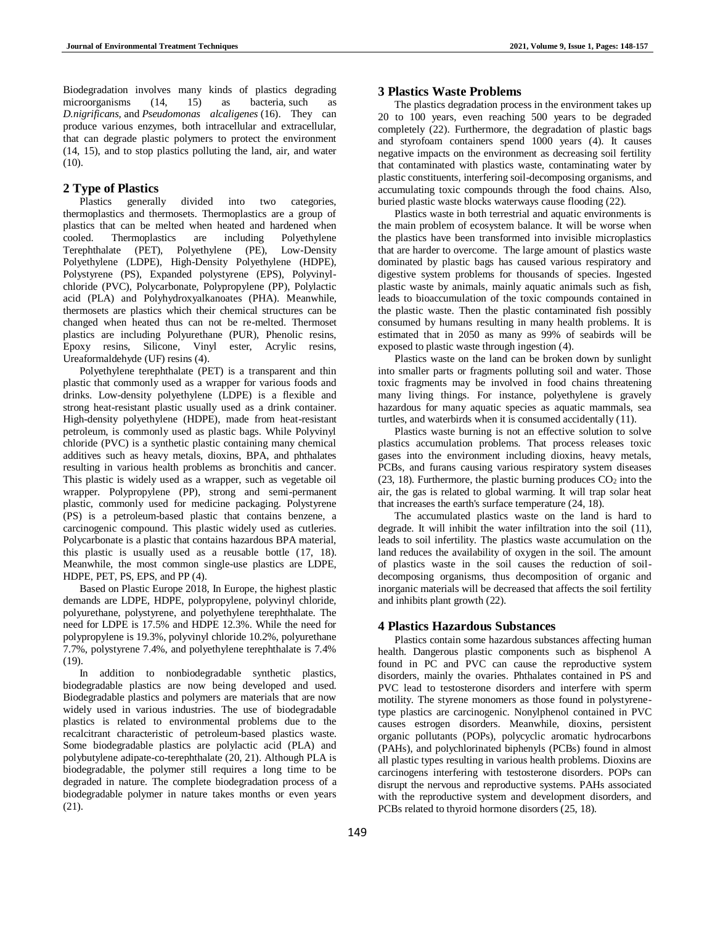Biodegradation involves many kinds of plastics degrading microorganisms (14, 15) as bacteria, such as *D.nigrificans,* and *Pseudomonas alcaligenes* (16). They can produce various enzymes, both intracellular and extracellular, that can degrade plastic polymers to protect the environment (14, 15), and to stop plastics polluting the land, air, and water (10).

## **2 Type of Plastics**

Plastics generally divided into two categories, thermoplastics and thermosets. Thermoplastics are a group of plastics that can be melted when heated and hardened when cooled. Thermoplastics are including Polyethylene cooled. Thermoplastics are including Polyethylene Terephthalate (PET), Polyethylene (PE), Low-Density Polyethylene (LDPE), High-Density Polyethylene (HDPE), Polystyrene (PS), Expanded polystyrene (EPS), Polyvinylchloride (PVC), Polycarbonate, Polypropylene (PP), Polylactic acid (PLA) and Polyhydroxyalkanoates (PHA). Meanwhile, thermosets are plastics which their chemical structures can be changed when heated thus can not be re-melted. Thermoset plastics are including Polyurethane (PUR), Phenolic resins, Epoxy resins, Silicone, Vinyl ester, Acrylic resins, Ureaformaldehyde (UF) resins (4).

Polyethylene terephthalate (PET) is a transparent and thin plastic that commonly used as a wrapper for various foods and drinks. Low-density polyethylene (LDPE) is a flexible and strong heat-resistant plastic usually used as a drink container. High-density polyethylene (HDPE), made from heat-resistant petroleum, is commonly used as plastic bags. While Polyvinyl chloride (PVC) is a synthetic plastic containing many chemical additives such as heavy metals, dioxins, BPA, and phthalates resulting in various health problems as bronchitis and cancer. This plastic is widely used as a wrapper, such as vegetable oil wrapper. Polypropylene (PP), strong and semi-permanent plastic, commonly used for medicine packaging. Polystyrene (PS) is a petroleum-based plastic that contains benzene, a carcinogenic compound. This plastic widely used as cutleries. Polycarbonate is a plastic that contains hazardous BPA material, this plastic is usually used as a reusable bottle (17, 18). Meanwhile, the most common single-use plastics are LDPE, HDPE, PET, PS, EPS, and PP (4).

Based on Plastic Europe 2018, In Europe, the highest plastic demands are LDPE, HDPE, polypropylene, polyvinyl chloride, polyurethane, polystyrene, and polyethylene terephthalate. The need for LDPE is 17.5% and HDPE 12.3%. While the need for polypropylene is 19.3%, polyvinyl chloride 10.2%, polyurethane 7.7%, polystyrene 7.4%, and polyethylene terephthalate is 7.4% (19).

In addition to nonbiodegradable synthetic plastics, biodegradable plastics are now being developed and used. Biodegradable plastics and polymers are materials that are now widely used in various industries. The use of biodegradable plastics is related to environmental problems due to the recalcitrant characteristic of petroleum-based plastics waste. Some biodegradable plastics are polylactic acid (PLA) and polybutylene adipate-co-terephthalate (20, 21). Although PLA is biodegradable, the polymer still requires a long time to be degraded in nature. The complete biodegradation process of a biodegradable polymer in nature takes months or even years (21).

# **3 Plastics Waste Problems**

The plastics degradation process in the environment takes up 20 to 100 years, even reaching 500 years to be degraded completely (22). Furthermore, the degradation of plastic bags and styrofoam containers spend 1000 years (4). It causes negative impacts on the environment as decreasing soil fertility that contaminated with plastics waste, contaminating water by plastic constituents, interfering soil-decomposing organisms, and accumulating toxic compounds through the food chains. Also, buried plastic waste blocks waterways cause flooding (22).

Plastics waste in both terrestrial and aquatic environments is the main problem of ecosystem balance. It will be worse when the plastics have been transformed into invisible microplastics that are harder to overcome. The large amount of plastics waste dominated by plastic bags has caused various respiratory and digestive system problems for thousands of species. Ingested plastic waste by animals, mainly aquatic animals such as fish, leads to bioaccumulation of the toxic compounds contained in the plastic waste. Then the plastic contaminated fish possibly consumed by humans resulting in many health problems. It is estimated that in 2050 as many as 99% of seabirds will be exposed to plastic waste through ingestion (4).

Plastics waste on the land can be broken down by sunlight into smaller parts or fragments polluting soil and water. Those toxic fragments may be involved in food chains threatening many living things. For instance, polyethylene is gravely hazardous for many aquatic species as aquatic mammals, sea turtles, and waterbirds when it is consumed accidentally (11).

Plastics waste burning is not an effective solution to solve plastics accumulation problems. That process releases toxic gases into the environment including dioxins, heavy metals, PCBs, and furans causing various respiratory system diseases  $(23, 18)$ . Furthermore, the plastic burning produces  $CO<sub>2</sub>$  into the air, the gas is related to global warming. It will trap solar heat that increases the earth's surface temperature (24, 18).

The accumulated plastics waste on the land is hard to degrade. It will inhibit the water infiltration into the soil (11), leads to soil infertility. The plastics waste accumulation on the land reduces the availability of oxygen in the soil. The amount of plastics waste in the soil causes the reduction of soildecomposing organisms, thus decomposition of organic and inorganic materials will be decreased that affects the soil fertility and inhibits plant growth (22).

## **4 Plastics Hazardous Substances**

Plastics contain some hazardous substances affecting human health. Dangerous plastic components such as bisphenol A found in PC and PVC can cause the reproductive system disorders, mainly the ovaries. Phthalates contained in PS and PVC lead to testosterone disorders and interfere with sperm motility. The styrene monomers as those found in polystyrenetype plastics are carcinogenic. Nonylphenol contained in PVC causes estrogen disorders. Meanwhile, dioxins, persistent organic pollutants (POPs), polycyclic aromatic hydrocarbons (PAHs), and polychlorinated biphenyls (PCBs) found in almost all plastic types resulting in various health problems. Dioxins are carcinogens interfering with testosterone disorders. POPs can disrupt the nervous and reproductive systems. PAHs associated with the reproductive system and development disorders, and PCBs related to thyroid hormone disorders (25, 18).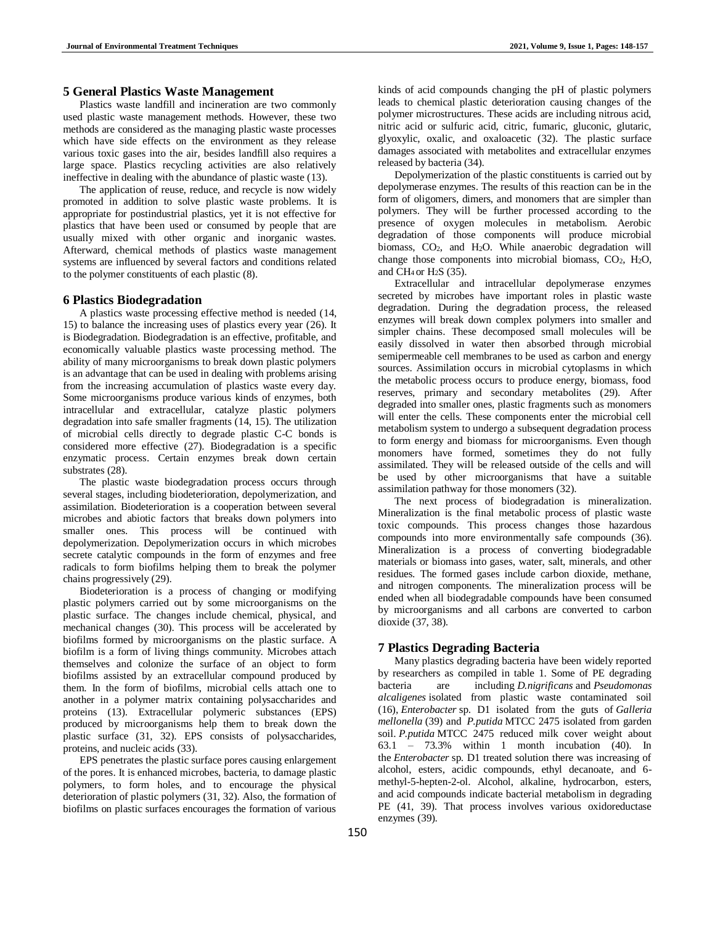# **5 General Plastics Waste Management**

Plastics waste landfill and incineration are two commonly used plastic waste management methods. However, these two methods are considered as the managing plastic waste processes which have side effects on the environment as they release various toxic gases into the air, besides landfill also requires a large space. Plastics recycling activities are also relatively ineffective in dealing with the abundance of plastic waste (13).

The application of reuse, reduce, and recycle is now widely promoted in addition to solve plastic waste problems. It is appropriate for postindustrial plastics, yet it is not effective for plastics that have been used or consumed by people that are usually mixed with other organic and inorganic wastes. Afterward, chemical methods of plastics waste management systems are influenced by several factors and conditions related to the polymer constituents of each plastic (8).

## **6 Plastics Biodegradation**

A plastics waste processing effective method is needed (14, 15) to balance the increasing uses of plastics every year (26). It is Biodegradation. Biodegradation is an effective, profitable, and economically valuable plastics waste processing method. The ability of many microorganisms to break down plastic polymers is an advantage that can be used in dealing with problems arising from the increasing accumulation of plastics waste every day. Some microorganisms produce various kinds of enzymes, both intracellular and extracellular, catalyze plastic polymers degradation into safe smaller fragments (14, 15). The utilization of microbial cells directly to degrade plastic C-C bonds is considered more effective (27). Biodegradation is a specific enzymatic process. Certain enzymes break down certain substrates (28).

The plastic waste biodegradation process occurs through several stages, including biodeterioration, depolymerization, and assimilation. Biodeterioration is a cooperation between several microbes and abiotic factors that breaks down polymers into smaller ones. This process will be continued with depolymerization. Depolymerization occurs in which microbes secrete catalytic compounds in the form of enzymes and free radicals to form biofilms helping them to break the polymer chains progressively (29).

Biodeterioration is a process of changing or modifying plastic polymers carried out by some microorganisms on the plastic surface. The changes include chemical, physical, and mechanical changes (30). This process will be accelerated by biofilms formed by microorganisms on the plastic surface. A biofilm is a form of living things community. Microbes attach themselves and colonize the surface of an object to form biofilms assisted by an extracellular compound produced by them. In the form of biofilms, microbial cells attach one to another in a polymer matrix containing polysaccharides and proteins (13). Extracellular polymeric substances (EPS) produced by microorganisms help them to break down the plastic surface (31, 32). EPS consists of polysaccharides, proteins, and nucleic acids (33).

EPS penetrates the plastic surface pores causing enlargement of the pores. It is enhanced microbes, bacteria, to damage plastic polymers, to form holes, and to encourage the physical deterioration of plastic polymers (31, 32). Also, the formation of biofilms on plastic surfaces encourages the formation of various

kinds of acid compounds changing the pH of plastic polymers leads to chemical plastic deterioration causing changes of the polymer microstructures. These acids are including nitrous acid, nitric acid or sulfuric acid, citric, fumaric, gluconic, glutaric, glyoxylic, oxalic, and oxaloacetic (32). The plastic surface damages associated with metabolites and extracellular enzymes released by bacteria (34).

Depolymerization of the plastic constituents is carried out by depolymerase enzymes. The results of this reaction can be in the form of oligomers, dimers, and monomers that are simpler than polymers. They will be further processed according to the presence of oxygen molecules in metabolism. Aerobic degradation of those components will produce microbial biomass, CO2, and H2O. While anaerobic degradation will change those components into microbial biomass,  $CO<sub>2</sub>$ , H<sub>2</sub>O, and CH<sub>4</sub> or H<sub>2</sub>S  $(35)$ .

Extracellular and intracellular depolymerase enzymes secreted by microbes have important roles in plastic waste degradation. During the degradation process, the released enzymes will break down complex polymers into smaller and simpler chains. These decomposed small molecules will be easily dissolved in water then absorbed through microbial semipermeable cell membranes to be used as carbon and energy sources. Assimilation occurs in microbial cytoplasms in which the metabolic process occurs to produce energy, biomass, food reserves, primary and secondary metabolites (29). After degraded into smaller ones, plastic fragments such as monomers will enter the cells. These components enter the microbial cell metabolism system to undergo a subsequent degradation process to form energy and biomass for microorganisms. Even though monomers have formed, sometimes they do not fully assimilated. They will be released outside of the cells and will be used by other microorganisms that have a suitable assimilation pathway for those monomers (32).

The next process of biodegradation is mineralization. Mineralization is the final metabolic process of plastic waste toxic compounds. This process changes those hazardous compounds into more environmentally safe compounds (36). Mineralization is a process of converting biodegradable materials or biomass into gases, water, salt, minerals, and other residues. The formed gases include carbon dioxide, methane, and nitrogen components. The mineralization process will be ended when all biodegradable compounds have been consumed by microorganisms and all carbons are converted to carbon dioxide (37, 38).

## **7 Plastics Degrading Bacteria**

Many plastics degrading bacteria have been widely reported by researchers as compiled in table 1. Some of PE degrading bacteria are including *D.nigrificans* and *Pseudomonas alcaligenes* isolated from plastic waste contaminated soil (16), *Enterobacter* sp. D1 isolated from the guts of *Galleria mellonella* (39) and *P.putida* MTCC 2475 isolated from garden soil. *P.putida* MTCC 2475 reduced milk cover weight about 63.1 – 73.3% within 1 month incubation (40). In the *Enterobacter* sp. D1 treated solution there was increasing of alcohol, esters, acidic compounds, ethyl decanoate, and 6 methyl-5-hepten-2-ol. Alcohol, alkaline, hydrocarbon, esters, and acid compounds indicate bacterial metabolism in degrading PE (41, 39). That process involves various oxidoreductase enzymes (39).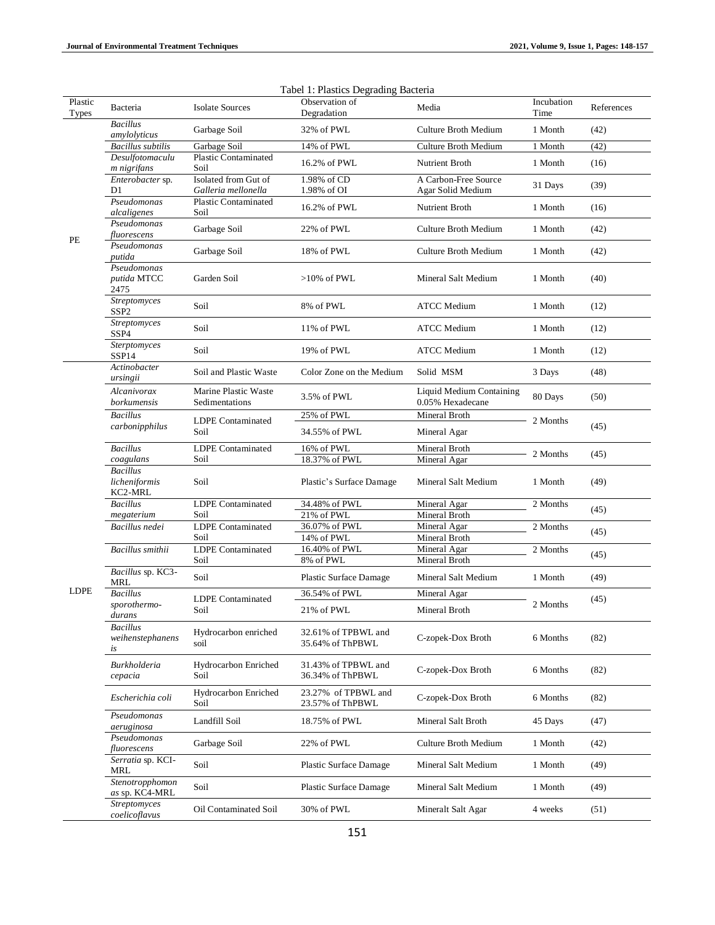| Plastic      | Bacteria                                    | <b>Isolate Sources</b>                      | Tabel 1. Flastics Degrading Bacteria<br>Observation of | Media                                        | Incubation | References |
|--------------|---------------------------------------------|---------------------------------------------|--------------------------------------------------------|----------------------------------------------|------------|------------|
| <b>Types</b> | <b>Bacillus</b>                             |                                             | Degradation                                            |                                              | Time       |            |
| PE           | amylolyticus                                | Garbage Soil                                | 32% of PWL                                             | <b>Culture Broth Medium</b>                  | 1 Month    | (42)       |
|              | <b>Bacillus</b> subtilis<br>Desulfotomaculu | Garbage Soil<br>Plastic Contaminated        | 14% of PWL                                             | <b>Culture Broth Medium</b>                  | 1 Month    | (42)       |
|              | m nigrifans                                 | Soil                                        | 16.2% of PWL                                           | Nutrient Broth                               | 1 Month    | (16)       |
|              | Enterobacter sp.<br>D1                      | Isolated from Gut of<br>Galleria mellonella | 1.98% of CD<br>1.98% of OI                             | A Carbon-Free Source<br>Agar Solid Medium    | 31 Days    | (39)       |
|              | Pseudomonas<br>alcaligenes                  | <b>Plastic Contaminated</b><br>Soil         | 16.2% of PWL                                           | Nutrient Broth                               | 1 Month    | (16)       |
|              | Pseudomonas<br>fluorescens                  | Garbage Soil                                | 22% of PWL                                             | Culture Broth Medium                         | 1 Month    | (42)       |
|              | Pseudomonas<br>putida                       | Garbage Soil                                | 18% of PWL                                             | Culture Broth Medium                         | 1 Month    | (42)       |
|              | Pseudomonas<br>putida MTCC<br>2475          | Garden Soil                                 | $>10\%$ of PWL                                         | Mineral Salt Medium                          | 1 Month    | (40)       |
|              | Streptomyces<br>SSP <sub>2</sub>            | Soil                                        | 8% of PWL                                              | <b>ATCC</b> Medium                           | 1 Month    | (12)       |
|              | Streptomyces<br>SSP4                        | Soil                                        | 11% of PWL                                             | <b>ATCC Medium</b>                           | 1 Month    | (12)       |
|              | Sterptomyces<br>SSP <sub>14</sub>           | Soil                                        | 19% of PWL                                             | <b>ATCC</b> Medium                           | 1 Month    | (12)       |
|              | Actinobacter<br>ursingii                    | Soil and Plastic Waste                      | Color Zone on the Medium                               | Solid MSM                                    | 3 Days     | (48)       |
|              | Alcanivorax<br>borkumensis                  | Marine Plastic Waste<br>Sedimentations      | 3.5% of PWL                                            | Liquid Medium Containing<br>0.05% Hexadecane | 80 Days    | (50)       |
|              | Bacillus<br>carbonipphilus                  | <b>LDPE</b> Contaminated<br>Soil            | 25% of PWL                                             | Mineral Broth                                | 2 Months   | (45)       |
|              |                                             |                                             | 34.55% of PWL                                          | Mineral Agar                                 |            |            |
|              | <b>Bacillus</b>                             | <b>LDPE</b> Contaminated                    | 16% of PWL                                             | Mineral Broth                                | 2 Months   | (45)       |
|              | coagulans                                   | Soil                                        | 18.37% of PWL                                          | Mineral Agar                                 |            |            |
|              | <b>Bacillus</b><br>licheniformis<br>KC2-MRL | Soil                                        | Plastic's Surface Damage                               | Mineral Salt Medium                          | 1 Month    | (49)       |
|              | <b>Bacillus</b>                             | <b>LDPE</b> Contaminated                    | 34.48% of PWL                                          | Mineral Agar                                 | 2 Months   | (45)       |
|              | megaterium<br>Bacillus nedei                | Soil<br><b>LDPE</b> Contaminated<br>Soil    | 21% of PWL                                             | Mineral Broth                                |            | (45)       |
|              |                                             |                                             | 36.07% of PWL<br>14% of PWL                            | Mineral Agar<br>Mineral Broth                | 2 Months   |            |
|              | Bacillus smithii                            | <b>LDPE</b> Contaminated<br>Soil            | 16.40% of PWL                                          | Mineral Agar                                 | 2 Months   | (45)       |
|              |                                             |                                             | 8% of PWL                                              | Mineral Broth                                |            |            |
|              | Bacillus sp. KC3-<br>MRL                    | Soil                                        | Plastic Surface Damage                                 | Mineral Salt Medium                          | 1 Month    | (49)       |
| LDPE         | <b>Bacillus</b><br>sporothermo-<br>durans   | <b>LDPE</b> Contaminated<br>Soil            | 36.54% of PWL                                          | Mineral Agar                                 | 2 Months   | (45)       |
|              |                                             |                                             | 21% of PWL                                             | Mineral Broth                                |            |            |
|              | <b>Bacillus</b><br>weihenstephanens<br>is   | Hydrocarbon enriched<br>soil                | 32.61% of TPBWL and<br>35.64% of ThPBWL                | C-zopek-Dox Broth                            | 6 Months   | (82)       |
|              | Burkholderia<br>cepacia                     | Hydrocarbon Enriched<br>Soil                | 31.43% of TPBWL and<br>36.34% of ThPBWL                | C-zopek-Dox Broth                            | 6 Months   | (82)       |
|              | Escherichia coli                            | Hydrocarbon Enriched<br>Soil                | 23.27% of TPBWL and<br>23.57% of ThPBWL                | C-zopek-Dox Broth                            | 6 Months   | (82)       |
|              | Pseudomonas<br>aeruginosa                   | Landfill Soil                               | 18.75% of PWL                                          | Mineral Salt Broth                           | 45 Days    | (47)       |
|              | Pseudomonas<br>fluorescens                  | Garbage Soil                                | 22% of PWL                                             | Culture Broth Medium                         | 1 Month    | (42)       |
|              | Serratia sp. KCI-<br>MRL                    | Soil                                        | Plastic Surface Damage                                 | Mineral Salt Medium                          | 1 Month    | (49)       |
|              | Stenotropphomon<br>as sp. KC4-MRL           | Soil                                        | Plastic Surface Damage                                 | Mineral Salt Medium                          | 1 Month    | (49)       |
|              | <b>Streptomyces</b><br>coelicoflavus        | Oil Contaminated Soil                       | 30% of PWL                                             | Mineralt Salt Agar                           | 4 weeks    | (51)       |

# Tabel 1: Plastics Degrading Bacteria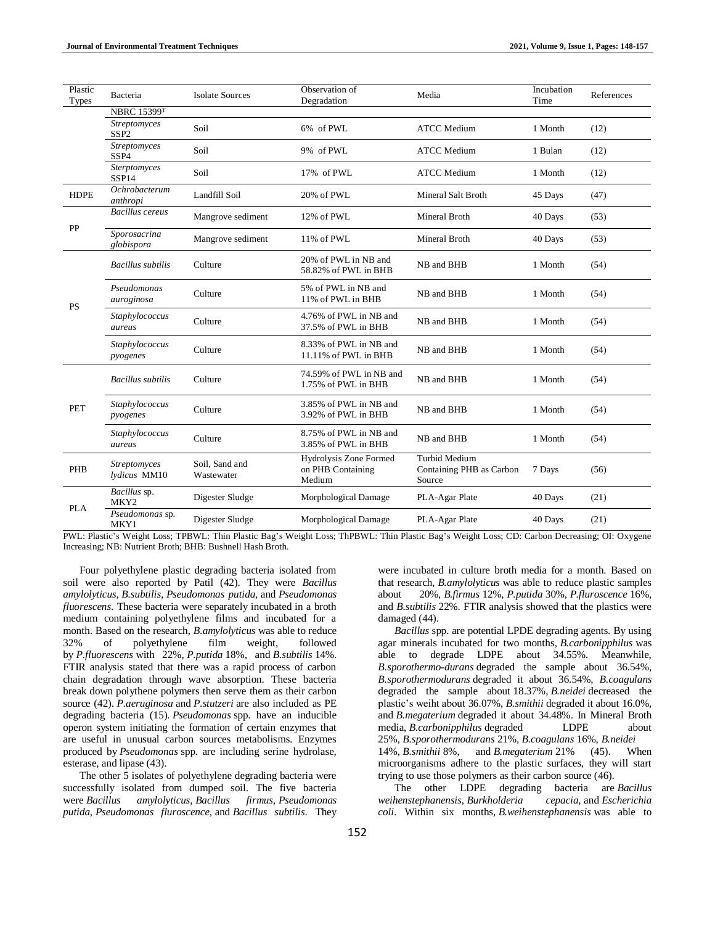| Plastic<br>Types | Bacteria                                 | <b>Isolate Sources</b>       | Observation of<br>Degradation                                | Media                                                      | Incubation<br>Time | References |
|------------------|------------------------------------------|------------------------------|--------------------------------------------------------------|------------------------------------------------------------|--------------------|------------|
|                  | <b>NBRC 15399T</b>                       |                              |                                                              |                                                            |                    |            |
|                  | <b>Streptomyces</b><br>SSP <sub>2</sub>  | Soil                         | 6% of PWL                                                    | <b>ATCC</b> Medium                                         | 1 Month            | (12)       |
|                  | Streptomyces<br>SSP4                     | Soil                         | 9% of PWL                                                    | <b>ATCC</b> Medium                                         | 1 Bulan            | (12)       |
|                  | <b>Sterptomyces</b><br>SSP <sub>14</sub> | Soil                         | 17% of PWL                                                   | <b>ATCC</b> Medium                                         | 1 Month            | (12)       |
| <b>HDPE</b>      | Ochrobacterum<br>anthropi                | Landfill Soil                | 20% of PWL                                                   | Mineral Salt Broth                                         | 45 Days            | (47)       |
| PP               | Bacillus cereus                          | Mangrove sediment            | $12\%$ of PWL.                                               | Mineral Broth                                              | 40 Days            | (53)       |
|                  | Sporosacrina<br>globispora               | Mangrove sediment            | 11% of PWL                                                   | Mineral Broth                                              | 40 Days            | (53)       |
| <b>PS</b>        | <b>Bacillus</b> subtilis                 | Culture                      | 20% of PWL in NB and<br>58.82% of PWL in BHB                 | NB and BHB                                                 | 1 Month            | (54)       |
|                  | Pseudomonas<br>auroginosa                | Culture                      | 5% of PWL in NB and<br>11% of PWL in BHB                     | NB and BHB                                                 | 1 Month            | (54)       |
|                  | Staphylococcus<br>aureus                 | Culture                      | 4.76% of PWL in NB and<br>37.5% of PWL in BHB                | NB and BHB                                                 | 1 Month            | (54)       |
|                  | Staphylococcus<br>pyogenes               | Culture                      | 8.33% of PWL in NB and<br>11.11% of PWL in BHB               | NB and BHB                                                 | 1 Month            | (54)       |
| <b>PET</b>       | <b>Bacillus</b> subtilis                 | Culture                      | 74.59% of PWL in NB and<br>1.75% of PWL in BHB               | NB and BHB                                                 | 1 Month            | (54)       |
|                  | Staphylococcus<br>pyogenes               | Culture                      | 3.85% of PWL in NB and<br>3.92% of PWL in BHB                | NB and BHB                                                 | 1 Month            | (54)       |
|                  | Staphylococcus<br>aureus                 | Culture                      | 8.75% of PWL in NB and<br>3.85% of PWL in BHB                | NB and BHB                                                 | 1 Month            | (54)       |
| PHB              | <b>Streptomyces</b><br>lydicus MM10      | Soil, Sand and<br>Wastewater | <b>Hydrolysis Zone Formed</b><br>on PHB Containing<br>Medium | <b>Turbid Medium</b><br>Containing PHB as Carbon<br>Source | 7 Days             | (56)       |
| <b>PLA</b>       | Bacillus sp.<br>MKY <sub>2</sub>         | Digester Sludge              | Morphological Damage                                         | PLA-Agar Plate                                             | 40 Days            | (21)       |
|                  | Pseudomonas sp.<br>MKY1                  | Digester Sludge              | Morphological Damage                                         | PLA-Agar Plate                                             | 40 Days            | (21)       |

PWL: Plastic's Weight Loss; TPBWL: Thin Plastic Bag's Weight Loss; ThPBWL: Thin Plastic Bag's Weight Loss; CD: Carbon Decreasing; OI: Oxygene Increasing; NB: Nutrient Broth; BHB: Bushnell Hash Broth.

Four polyethylene plastic degrading bacteria isolated from soil were also reported by Patil (42). They were *Bacillus amylolyticus*, *B.subtilis*, *Pseudomonas putida,* and *Pseudomonas fluorescens*. These bacteria were separately incubated in a broth medium containing polyethylene films and incubated for a month. Based on the research, *B*.*amylolyticus* was able to reduce 32% of polyethylene film weight, followed by *P*.*fluorescens* with 22%, *P*.*putida* 18%, and *B*.*subtilis* 14%. FTIR analysis stated that there was a rapid process of carbon chain degradation through wave absorption. These bacteria break down polythene polymers then serve them as their carbon source (42). *P*.*aeruginosa* and *P*.*stutzeri* are also included as PE degrading bacteria (15). *Pseudomonas* spp. have an inducible operon system initiating the formation of certain enzymes that are useful in unusual carbon sources metabolisms. Enzymes produced by *Pseudomonas* spp. are including serine hydrolase, esterase, and lipase (43).

The other 5 isolates of polyethylene degrading bacteria were successfully isolated from dumped soil. The five bacteria were *Bacillus amylolyticus*, *Bacillus firmus*, *Pseudomonas putida*, *Pseudomonas fluroscence,* and *Bacillus subtilis*. They

were incubated in culture broth media for a month. Based on that research, *B.amylolyticus* was able to reduce plastic samples about 20%, *B.firmus* 12%, *P.putida* 30%, *P.fluroscence* 16%, and *B.subtilis* 22%. FTIR analysis showed that the plastics were damaged (44).

*Bacillus* spp. are potential LPDE degrading agents. By using agar minerals incubated for two months, *B.carbonipphilus* was able to degrade LDPE about 34.55%. Meanwhile, *B.sporothermo-durans* degraded the sample about 36.54%, *B.sporothermodurans* degraded it about 36.54%, *B.coagulans* degraded the sample about 18.37%, *B.neidei* decreased the plastic's weiht about 36.07%, *B.smithii* degraded it about 16.0%, and *B.megaterium* degraded it about 34.48%. In Mineral Broth media, *B.carbonipphilus* degraded LDPE about 25%, *B.sporothermodurans* 21%, *B.coagulans* 16%, *B.neidei* 14%, *B.smithii* 8%, and *B.megaterium* 21% (45). When microorganisms adhere to the plastic surfaces, they will start trying to use those polymers as their carbon source (46).

The other LDPE degrading bacteria are *Bacillus weihenstephanensis*, *Burkholderia cepacia,* and *Escherichia coli*. Within six months, *B.weihenstephanensis* was able to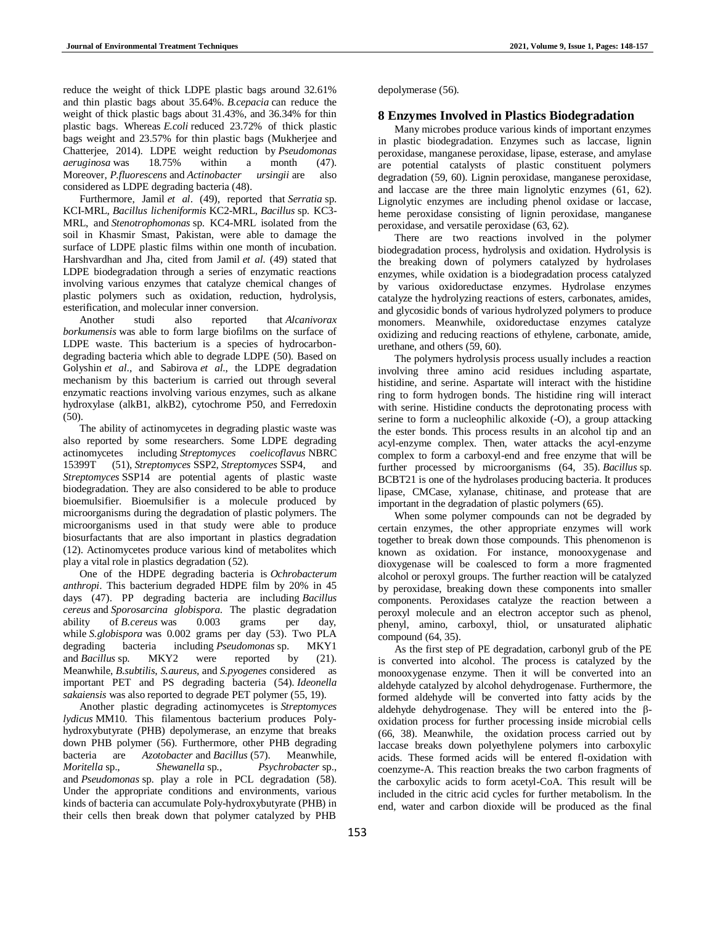reduce the weight of thick LDPE plastic bags around 32.61% and thin plastic bags about 35.64%. *B.cepacia* can reduce the weight of thick plastic bags about 31.43%, and 36.34% for thin plastic bags. Whereas *E.coli* reduced 23.72% of thick plastic bags weight and 23.57% for thin plastic bags (Mukherjee and Chatterjee, 2014). LDPE weight reduction by *Pseudomonas aeruginosa* was 18.75% within a month (47). Moreover, *P.fluorescens* and *Actinobacter ursingii* are also considered as LDPE degrading bacteria (48).

Furthermore, Jamil *et al*. (49), reported that *Serratia* sp. KCI-MRL, *Bacillus licheniformis* KC2-MRL, *Bacillus* sp. KC3- MRL, and *Stenotrophomonas* sp. KC4-MRL isolated from the soil in Khasmir Smast, Pakistan, were able to damage the surface of LDPE plastic films within one month of incubation. Harshvardhan and Jha, cited from Jamil *et al*. (49) stated that LDPE biodegradation through a series of enzymatic reactions involving various enzymes that catalyze chemical changes of plastic polymers such as oxidation, reduction, hydrolysis, esterification, and molecular inner conversion.

Another studi also reported that *Alcanivorax borkumensis* was able to form large biofilms on the surface of LDPE waste. This bacterium is a species of hydrocarbondegrading bacteria which able to degrade LDPE (50). Based on Golyshin *et al*., and Sabirova *et al*., the LDPE degradation mechanism by this bacterium is carried out through several enzymatic reactions involving various enzymes, such as alkane hydroxylase (alkB1, alkB2), cytochrome P50, and Ferredoxin (50).

The ability of actinomycetes in degrading plastic waste was also reported by some researchers. Some LDPE degrading actinomycetes including *Streptomyces coelicoflavus* NBRC 15399T (51), *Streptomyces* SSP2, *Streptomyces* SSP4, and *Streptomyces* SSP14 are potential agents of plastic waste biodegradation. They are also considered to be able to produce bioemulsifier. Bioemulsifier is a molecule produced by microorganisms during the degradation of plastic polymers. The microorganisms used in that study were able to produce biosurfactants that are also important in plastics degradation (12). Actinomycetes produce various kind of metabolites which play a vital role in plastics degradation (52).

One of the HDPE degrading bacteria is *Ochrobacterum anthropi*. This bacterium degraded HDPE film by 20% in 45 days (47). PP degrading bacteria are including *Bacillus cereus* and *Sporosarcina globispora*. The plastic degradation ability of *B.cereus* was 0.003 grams per day, while *S.globispora* was 0.002 grams per day (53). Two PLA degrading bacteria including *Pseudomonas* sp. MKY1 and *Bacillus* sp. MKY2 were reported by (21). Meanwhile, *B.subtilis*, *S.aureus,* and *S.pyogenes* considered as important PET and PS degrading bacteria (54). *Ideonella sakaiensis* was also reported to degrade PET polymer (55, 19).

Another plastic degrading actinomycetes is *Streptomyces lydicus* MM10. This filamentous bacterium produces Polyhydroxybutyrate (PHB) depolymerase, an enzyme that breaks down PHB polymer (56). Furthermore, other PHB degrading bacteria are *Azotobacter* and *Bacillus* (57). Meanwhile, *Moritella* sp., *Shewanella* sp., *Psychrobacter* sp., and *Pseudomonas* sp. play a role in PCL degradation (58). Under the appropriate conditions and environments, various kinds of bacteria can accumulate Poly-hydroxybutyrate (PHB) in their cells then break down that polymer catalyzed by PHB

depolymerase (56).

## **8 Enzymes Involved in Plastics Biodegradation**

Many microbes produce various kinds of important enzymes in plastic biodegradation. Enzymes such as laccase, lignin peroxidase, manganese peroxidase, lipase, esterase, and amylase are potential catalysts of plastic constituent polymers degradation (59, 60). Lignin peroxidase, manganese peroxidase, and laccase are the three main lignolytic enzymes (61, 62). Lignolytic enzymes are including phenol oxidase or laccase, heme peroxidase consisting of lignin peroxidase, manganese peroxidase, and versatile peroxidase (63, 62).

There are two reactions involved in the polymer biodegradation process, hydrolysis and oxidation. Hydrolysis is the breaking down of polymers catalyzed by hydrolases enzymes, while oxidation is a biodegradation process catalyzed by various oxidoreductase enzymes. Hydrolase enzymes catalyze the hydrolyzing reactions of esters, carbonates, amides, and glycosidic bonds of various hydrolyzed polymers to produce monomers. Meanwhile, oxidoreductase enzymes catalyze oxidizing and reducing reactions of ethylene, carbonate, amide, urethane, and others (59, 60).

The polymers hydrolysis process usually includes a reaction involving three amino acid residues including aspartate, histidine, and serine. Aspartate will interact with the histidine ring to form hydrogen bonds. The histidine ring will interact with serine. Histidine conducts the deprotonating process with serine to form a nucleophilic alkoxide (-O), a group attacking the ester bonds. This process results in an alcohol tip and an acyl-enzyme complex. Then, water attacks the acyl-enzyme complex to form a carboxyl-end and free enzyme that will be further processed by microorganisms (64, 35). *Bacillus* sp. BCBT21 is one of the hydrolases producing bacteria. It produces lipase, CMCase, xylanase, chitinase, and protease that are important in the degradation of plastic polymers (65).

When some polymer compounds can not be degraded by certain enzymes, the other appropriate enzymes will work together to break down those compounds. This phenomenon is known as oxidation. For instance, monooxygenase and dioxygenase will be coalesced to form a more fragmented alcohol or peroxyl groups. The further reaction will be catalyzed by peroxidase, breaking down these components into smaller components. Peroxidases catalyze the reaction between a peroxyl molecule and an electron acceptor such as phenol, phenyl, amino, carboxyl, thiol, or unsaturated aliphatic compound (64, 35).

As the first step of PE degradation, carbonyl grub of the PE is converted into alcohol. The process is catalyzed by the monooxygenase enzyme. Then it will be converted into an aldehyde catalyzed by alcohol dehydrogenase. Furthermore, the formed aldehyde will be converted into fatty acids by the aldehyde dehydrogenase. They will be entered into the βoxidation process for further processing inside microbial cells (66, 38). Meanwhile, the oxidation process carried out by laccase breaks down polyethylene polymers into carboxylic acids. These formed acids will be entered fl-oxidation with coenzyme-A. This reaction breaks the two carbon fragments of the carboxylic acids to form acetyl-CoA. This result will be included in the citric acid cycles for further metabolism. In the end, water and carbon dioxide will be produced as the final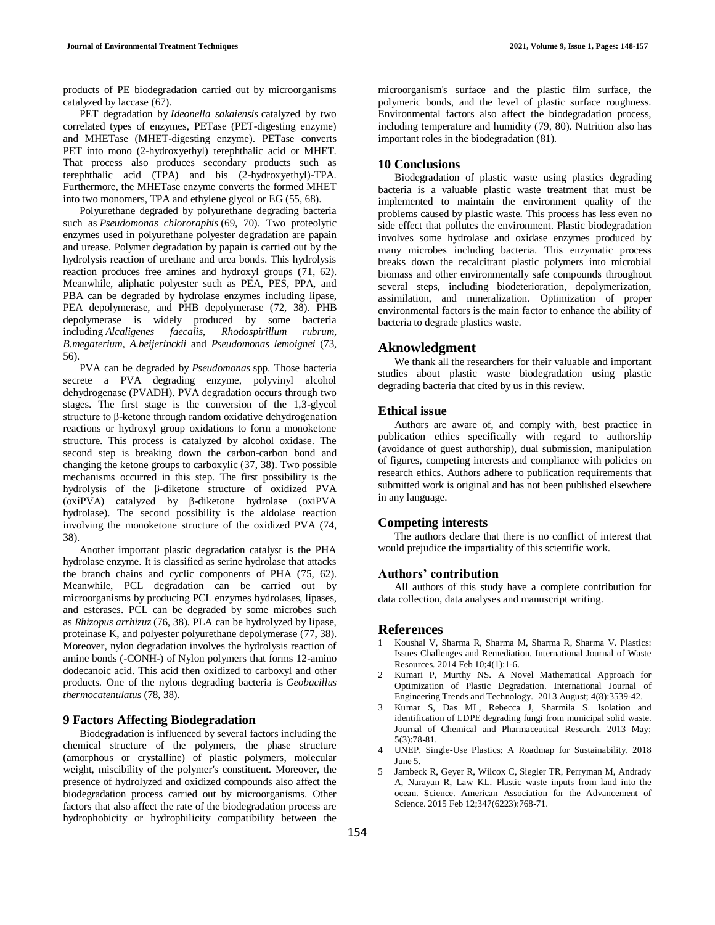products of PE biodegradation carried out by microorganisms catalyzed by laccase (67).

PET degradation by *Ideonella sakaiensis* catalyzed by two correlated types of enzymes, PETase (PET-digesting enzyme) and MHETase (MHET-digesting enzyme). PETase converts PET into mono (2-hydroxyethyl) terephthalic acid or MHET. That process also produces secondary products such as terephthalic acid (TPA) and bis (2-hydroxyethyl)-TPA. Furthermore, the MHETase enzyme converts the formed MHET into two monomers, TPA and ethylene glycol or EG (55, 68).

Polyurethane degraded by polyurethane degrading bacteria such as *Pseudomonas chlororaphis* (69, 70). Two proteolytic enzymes used in polyurethane polyester degradation are papain and urease. Polymer degradation by papain is carried out by the hydrolysis reaction of urethane and urea bonds. This hydrolysis reaction produces free amines and hydroxyl groups (71, 62). Meanwhile, aliphatic polyester such as PEA, PES, PPA, and PBA can be degraded by hydrolase enzymes including lipase, PEA depolymerase, and PHB depolymerase (72, 38). PHB depolymerase is widely produced by some bacteria including *Alcaligenes faecalis*, *Rhodospirillum rubrum*, *B.megaterium*, *A.beijerinckii* and *Pseudomonas lemoignei* (73, 56).

PVA can be degraded by *Pseudomonas* spp. Those bacteria secrete a PVA degrading enzyme, polyvinyl alcohol dehydrogenase (PVADH). PVA degradation occurs through two stages. The first stage is the conversion of the 1,3-glycol structure to β-ketone through random oxidative dehydrogenation reactions or hydroxyl group oxidations to form a monoketone structure. This process is catalyzed by alcohol oxidase. The second step is breaking down the carbon-carbon bond and changing the ketone groups to carboxylic (37, 38). Two possible mechanisms occurred in this step. The first possibility is the hydrolysis of the β-diketone structure of oxidized PVA (oxiPVA) catalyzed by β-diketone hydrolase (oxiPVA hydrolase). The second possibility is the aldolase reaction involving the monoketone structure of the oxidized PVA (74, 38).

Another important plastic degradation catalyst is the PHA hydrolase enzyme. It is classified as serine hydrolase that attacks the branch chains and cyclic components of PHA (75, 62). Meanwhile, PCL degradation can be carried out by microorganisms by producing PCL enzymes hydrolases, lipases, and esterases. PCL can be degraded by some microbes such as *Rhizopus arrhizuz* (76, 38). PLA can be hydrolyzed by lipase, proteinase K, and polyester polyurethane depolymerase (77, 38). Moreover, nylon degradation involves the hydrolysis reaction of amine bonds (-CONH-) of Nylon polymers that forms 12-amino dodecanoic acid. This acid then oxidized to carboxyl and other products. One of the nylons degrading bacteria is *Geobacillus thermocatenulatus* (78, 38).

## **9 Factors Affecting Biodegradation**

Biodegradation is influenced by several factors including the chemical structure of the polymers, the phase structure (amorphous or crystalline) of plastic polymers, molecular weight, miscibility of the polymer's constituent. Moreover, the presence of hydrolyzed and oxidized compounds also affect the biodegradation process carried out by microorganisms. Other factors that also affect the rate of the biodegradation process are hydrophobicity or hydrophilicity compatibility between the

microorganism's surface and the plastic film surface, the polymeric bonds, and the level of plastic surface roughness. Environmental factors also affect the biodegradation process, including temperature and humidity (79, 80). Nutrition also has important roles in the biodegradation (81).

## **10 Conclusions**

Biodegradation of plastic waste using plastics degrading bacteria is a valuable plastic waste treatment that must be implemented to maintain the environment quality of the problems caused by plastic waste. This process has less even no side effect that pollutes the environment. Plastic biodegradation involves some hydrolase and oxidase enzymes produced by many microbes including bacteria. This enzymatic process breaks down the recalcitrant plastic polymers into microbial biomass and other environmentally safe compounds throughout several steps, including biodeterioration, depolymerization, assimilation, and mineralization. Optimization of proper environmental factors is the main factor to enhance the ability of bacteria to degrade plastics waste.

#### **Aknowledgment**

We thank all the researchers for their valuable and important studies about plastic waste biodegradation using plastic degrading bacteria that cited by us in this review.

# **Ethical issue**

Authors are aware of, and comply with, best practice in publication ethics specifically with regard to authorship (avoidance of guest authorship), dual submission, manipulation of figures, competing interests and compliance with policies on research ethics. Authors adhere to publication requirements that submitted work is original and has not been published elsewhere in any language.

## **Competing interests**

The authors declare that there is no conflict of interest that would prejudice the impartiality of this scientific work.

## **Authors' contribution**

All authors of this study have a complete contribution for data collection, data analyses and manuscript writing.

# **References**

- 1 Koushal V, Sharma R, Sharma M, Sharma R, Sharma V. Plastics: Issues Challenges and Remediation. International Journal of Waste Resources. 2014 Feb 10;4(1):1-6.
- 2 Kumari P, Murthy NS. A Novel Mathematical Approach for Optimization of Plastic Degradation. International Journal of Engineering Trends and Technology. 2013 August; 4(8):3539-42.
- 3 Kumar S, Das ML, Rebecca J, Sharmila S. Isolation and identification of LDPE degrading fungi from municipal solid waste. Journal of Chemical and Pharmaceutical Research. 2013 May; 5(3):78-81.
- 4 UNEP. Single-Use Plastics: A Roadmap for Sustainability. 2018 June 5.
- 5 Jambeck R, Geyer R, Wilcox C, Siegler TR, Perryman M, Andrady A, Narayan R, Law KL. Plastic waste inputs from land into the ocean. Science. American Association for the Advancement of Science. 2015 Feb 12;347(6223):768-71.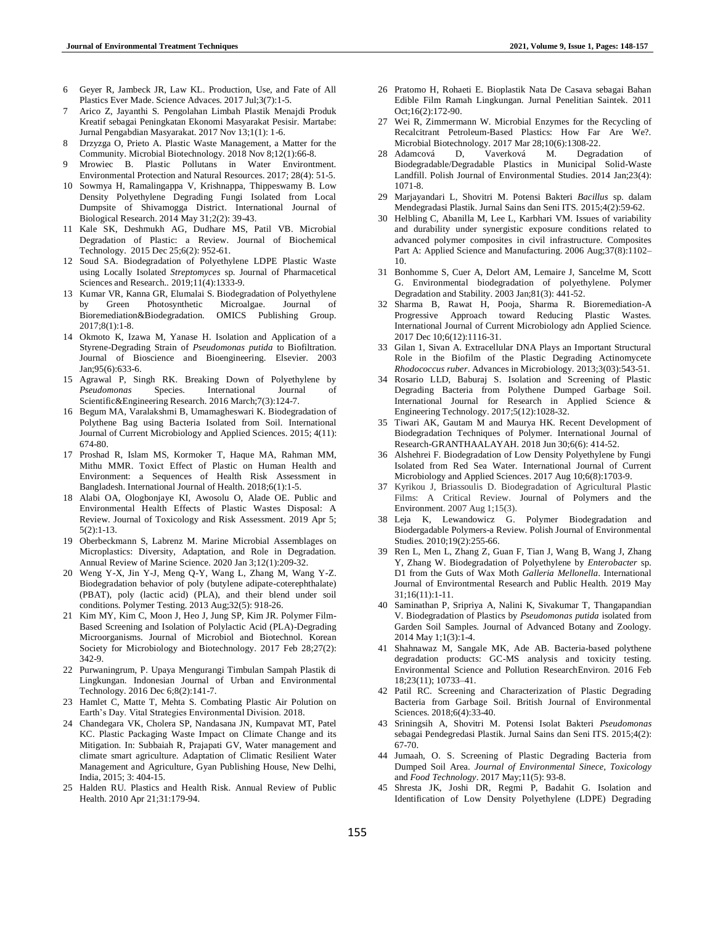- 6 Geyer R, Jambeck JR, Law KL. Production, Use, and Fate of All Plastics Ever Made. Science Advaces. 2017 Jul;3(7):1-5.
- 7 Arico Z, Jayanthi S. Pengolahan Limbah Plastik Menajdi Produk Kreatif sebagai Peningkatan Ekonomi Masyarakat Pesisir. Martabe: Jurnal Pengabdian Masyarakat. 2017 Nov 13;1(1): 1-6.
- 8 Drzyzga O, Prieto A. Plastic Waste Management, a Matter for the Community. Microbial Biotechnology*.* 2018 Nov 8;12(1):66-8.
- 9 Mrowiec B. Plastic Pollutans in Water Environtment. Environmental Protection and Natural Resources. 2017; 28(4): 51-5.
- 10 Sowmya H, Ramalingappa V, Krishnappa, Thippeswamy B. Low Density Polyethylene Degrading Fungi Isolated from Local Dumpsite of Shivamogga District. International Journal of Biological Research. 2014 May 31;2(2): 39-43.
- 11 Kale SK, Deshmukh AG, Dudhare MS, Patil VB. Microbial Degradation of Plastic: a Review. Journal of Biochemical Technology. 2015 Dec 25;6(2): 952-61.
- 12 Soud SA. Biodegradation of Polyethylene LDPE Plastic Waste using Locally Isolated *Streptomyces* sp. Journal of Pharmacetical Sciences and Research.*.* 2019;11(4):1333-9.
- 13 Kumar VR, Kanna GR, Elumalai S. Biodegradation of Polyethylene by Green Photosynthetic Microalgae. Journal of<br>Bioremediation&Biodegradation. OMICS Publishing Group. Bioremediation&Biodegradation. 2017;8(1):1-8.
- 14 Okmoto K, Izawa M, Yanase H. Isolation and Application of a Styrene-Degrading Strain of *Pseudomonas putida* to Biofiltration. Journal of Bioscience and Bioengineering. Elsevier. 2003 Jan;95(6):633-6.
- 15 Agrawal P, Singh RK. Breaking Down of Polyethylene by *Pseudomonas* Species. International Journal of Scientific&Engineering Research. 2016 March;7(3):124-7.
- 16 Begum MA, Varalakshmi B, Umamagheswari K. Biodegradation of Polythene Bag using Bacteria Isolated from Soil. International Journal of Current Microbiology and Applied Sciences. 2015; 4(11): 674-80.
- 17 Proshad R, Islam MS, Kormoker T, Haque MA, Rahman MM, Mithu MMR. Toxict Effect of Plastic on Human Health and Environment: a Sequences of Health Risk Assessment in Bangladesh. International Journal of Health. 2018;6(1):1-5.
- 18 Alabi OA, Ologbonjaye KI, Awosolu O, Alade OE. Public and Environmental Health Effects of Plastic Wastes Disposal: A Review. Journal of Toxicology and Risk Assessment. 2019 Apr 5;  $5(2):1-13$ .
- 19 Oberbeckmann S, Labrenz M. Marine Microbial Assemblages on Microplastics: Diversity, Adaptation, and Role in Degradation. Annual Review of Marine Science. 2020 Jan 3;12(1):209-32.
- 20 Weng Y-X, Jin Y-J, Meng Q-Y, Wang L, Zhang M, Wang Y-Z. Biodegradation behavior of poly (butylene adipate-coterephthalate) (PBAT), poly (lactic acid) (PLA), and their blend under soil conditions. Polymer Testing. 2013 Aug;32(5): 918-26.
- 21 Kim MY, Kim C, Moon J, Heo J, Jung SP, Kim JR. Polymer Film-Based Screening and Isolation of Polylactic Acid (PLA)-Degrading Microorganisms. Journal of Microbiol and Biotechnol. Korean Society for Microbiology and Biotechnology. 2017 Feb 28;27(2): 342-9.
- 22 Purwaningrum, P. Upaya Mengurangi Timbulan Sampah Plastik di Lingkungan. Indonesian Journal of Urban and Environmental Technology*.* 2016 Dec 6;8(2):141-7.
- 23 Hamlet C, Matte T, Mehta S. Combating Plastic Air Polution on Earth's Day. Vital Strategies Environmental Division. 2018.
- 24 Chandegara VK, Cholera SP, Nandasana JN, Kumpavat MT, Patel KC. Plastic Packaging Waste Impact on Climate Change and its Mitigation. In: Subbaiah R, Prajapati GV, Water management and climate smart agriculture. Adaptation of Climatic Resilient Water Management and Agriculture, Gyan Publishing House, New Delhi, India, 2015; 3: 404-15.
- 25 Halden RU. Plastics and Health Risk. Annual Review of Public Health. 2010 Apr 21;31:179-94.
- 26 Pratomo H, Rohaeti E. Bioplastik Nata De Casava sebagai Bahan Edible Film Ramah Lingkungan. Jurnal Penelitian Saintek. 2011 Oct;16(2):172-90.
- 27 Wei R, Zimmermann W. Microbial Enzymes for the Recycling of Recalcitrant Petroleum-Based Plastics: How Far Are We?. Microbial Biotechnology. 2017 Mar 28;10(6):1308-22.
- Adamcová D, Vaverková M. Degradation of Biodegradable/Degradable Plastics in Municipal Solid-Waste Landfill. Polish Journal of Environmental Studies. 2014 Jan;23(4): 1071-8.
- 29 Marjayandari L, Shovitri M. Potensi Bakteri *Bacillus* sp. dalam Mendegradasi Plastik. Jurnal Sains dan Seni ITS. 2015;4(2):59-62.
- 30 Helbling C, Abanilla M, Lee L, Karbhari VM. Issues of variability and durability under synergistic exposure conditions related to advanced polymer composites in civil infrastructure. Composites Part A: Applied Science and Manufacturing. 2006 Aug;37(8):1102– 10.
- 31 Bonhomme S, Cuer A, Delort AM, Lemaire J, Sancelme M, Scott G. Environmental biodegradation of polyethylene. Polymer Degradation and Stability. 2003 Jan;81(3): 441-52.
- 32 Sharma B, Rawat H, Pooja, Sharma R. Bioremediation-A Progressive Approach toward Reducing Plastic Wastes. International Journal of Current Microbiology adn Applied Science*.* 2017 Dec 10;6(12):1116-31.
- 33 Gilan 1, Sivan A. Extracellular DNA Plays an Important Structural Role in the Biofilm of the Plastic Degrading Actinomycete *Rhodococcus ruber*. Advances in Microbiology. 2013;3(03):543-51.
- 34 Rosario LLD, Baburaj S. Isolation and Screening of Plastic Degrading Bacteria from Polythene Dumped Garbage Soil. International Journal for Research in Applied Science & Engineering Technology. 2017;5(12):1028-32.
- 35 Tiwari AK, Gautam M and Maurya HK. Recent Development of Biodegradation Techniques of Polymer. International Journal of Research-GRANTHAALAYAH. 2018 Jun 30;6(6): 414-52.
- 36 Alshehrei F. Biodegradation of Low Density Polyethylene by Fungi Isolated from Red Sea Water. International Journal of Current Microbiology and Applied Sciences. 2017 Aug 10;6(8):1703-9.
- 37 Kyrikou J, Briassoulis D. Biodegradation of Agricultural Plastic Films: A Critical Review. Journal of Polymers and the Environment. 2007 Aug 1;15(3).
- 38 Leja K, Lewandowicz G. Polymer Biodegradation and Biodergadable Polymers-a Review. Polish Journal of Environmental Studies*.* 2010;19(2):255-66.
- 39 Ren L, Men L, Zhang Z, Guan F, Tian J, Wang B, Wang J, Zhang Y, Zhang W. Biodegradation of Polyethylene by *Enterobacter* sp. D1 from the Guts of Wax Moth *Galleria Mellonella*. International Journal of Environtmental Research and Public Health. 2019 May 31;16(11):1-11.
- 40 Saminathan P, Sripriya A, Nalini K, Sivakumar T, Thangapandian V. Biodegradation of Plastics by *Pseudomonas putida* isolated from Garden Soil Samples. Journal of Advanced Botany and Zoology. 2014 May 1;1(3):1-4.
- 41 Shahnawaz M, Sangale MK, Ade AB. Bacteria-based polythene degradation products: GC-MS analysis and toxicity testing. Environmental Science and Pollution ResearchEnviron. 2016 Feb 18;23(11); 10733–41.
- 42 Patil RC. Screening and Characterization of Plastic Degrading Bacteria from Garbage Soil. British Journal of Environmental Sciences. 2018:6(4):33-40.
- 43 Sriningsih A, Shovitri M. Potensi Isolat Bakteri *Pseudomonas*  sebagai Pendegredasi Plastik. Jurnal Sains dan Seni ITS. 2015;4(2): 67-70.
- 44 Jumaah, O. S. Screening of Plastic Degrading Bacteria from Dumped Soil Area. *Journal of Environmental Sinece, Toxicology* and *Food Technology*. 2017 May;11(5): 93-8.
- 45 Shresta JK, Joshi DR, Regmi P, Badahit G. Isolation and Identification of Low Density Polyethylene (LDPE) Degrading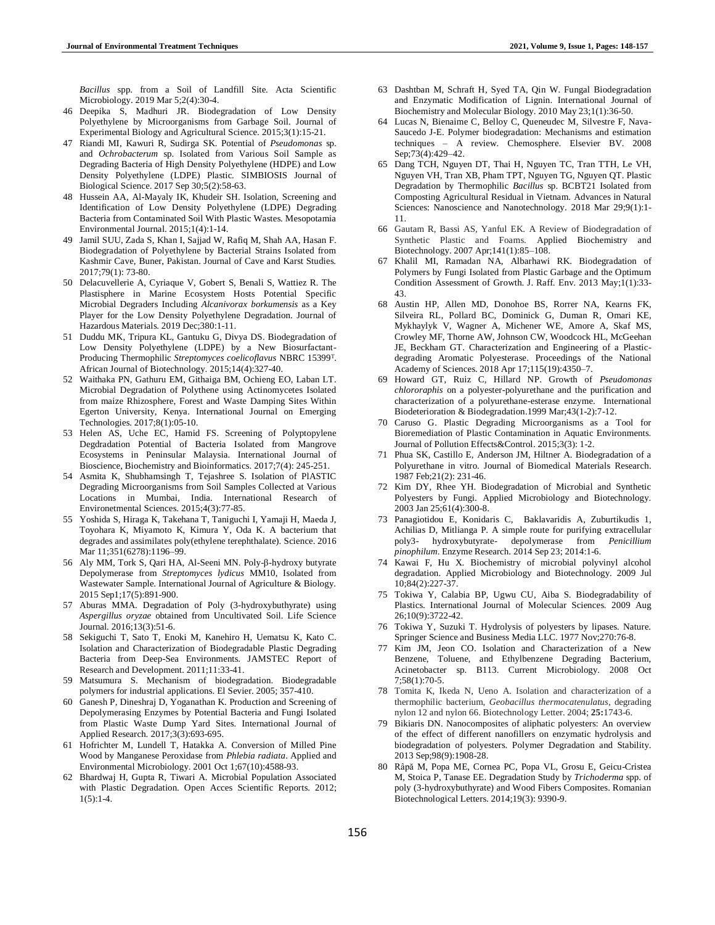*Bacillus* spp. from a Soil of Landfill Site. Acta Scientific Microbiology. 2019 Mar 5;2(4):30-4.

- 46 Deepika S, Madhuri JR. Biodegradation of Low Density Polyethylene by Microorganisms from Garbage Soil. Journal of Experimental Biology and Agricultural Science. 2015;3(1):15-21.
- 47 Riandi MI, Kawuri R, Sudirga SK. Potential of *Pseudomonas* sp. and *Ochrobacterum* sp. Isolated from Various Soil Sample as Degrading Bacteria of High Density Polyethylene (HDPE) and Low Density Polyethylene (LDPE) Plastic. SIMBIOSIS Journal of Biological Science. 2017 Sep 30;5(2):58-63.
- 48 Hussein AA, Al-Mayaly IK, Khudeir SH. Isolation, Screening and Identification of Low Density Polyethylene (LDPE) Degrading Bacteria from Contaminated Soil With Plastic Wastes. Mesopotamia Environmental Journal. 2015;1(4):1-14.
- 49 Jamil SUU, Zada S, Khan I, Sajjad W, Rafiq M, Shah AA, Hasan F. Biodegradation of Polyethylene by Bacterial Strains Isolated from Kashmir Cave, Buner, Pakistan. Journal of Cave and Karst Studies. 2017;79(1): 73-80.
- 50 Delacuvellerie A, Cyriaque V, Gobert S, Benali S, Wattiez R. The Plastisphere in Marine Ecosystem Hosts Potential Specific Microbial Degraders Including *Alcanivorax borkumensis* as a Key Player for the Low Density Polyethylene Degradation. Journal of Hazardous Materials. 2019 Dec;380:1-11.
- 51 Duddu MK, Tripura KL, Gantuku G, Divya DS. Biodegradation of Low Density Polyethylene (LDPE) by a New Biosurfactant-Producing Thermophilic *Streptomyces coelicoflavus* NBRC 15399<sup>T</sup> . African Journal of Biotechnology. 2015;14(4):327-40.
- 52 Waithaka PN, Gathuru EM, Githaiga BM, Ochieng EO, Laban LT. Microbial Degradation of Polythene using Actinomycetes Isolated from maize Rhizosphere, Forest and Waste Damping Sites Within Egerton University, Kenya. International Journal on Emerging Technologies. 2017;8(1):05-10.
- 53 Helen AS, Uche EC, Hamid FS. Screening of Polyptopylene Degdradation Potential of Bacteria Isolated from Mangrove Ecosystems in Peninsular Malaysia. International Journal of Bioscience, Biochemistry and Bioinformatics. 2017;7(4): 245-251.
- 54 Asmita K, Shubhamsingh T, Tejashree S. Isolation of PlASTIC Degrading Microorganisms from Soil Samples Collected at Various Locations in Mumbai, India. International Research of Environetmental Sciences. 2015;4(3):77-85.
- 55 Yoshida S, Hiraga K, Takehana T, Taniguchi I, Yamaji H, Maeda J, Toyohara K, Miyamoto K, Kimura Y, Oda K. A bacterium that degrades and assimilates poly(ethylene terephthalate). Science. 2016 Mar 11;351(6278):1196–99.
- 56 Aly MM, Tork S, Qari HA, Al-Seeni MN. Poly-β-hydroxy butyrate Depolymerase from *Streptomyces lydicus* MM10, Isolated from Wastewater Sample. International Journal of Agriculture & Biology. 2015 Sep1;17(5):891-900.
- 57 Aburas MMA. Degradation of Poly (3-hydroxybuthyrate) using *Aspergillus oryzae* obtained from Uncultivated Soil. Life Science Journal. 2016;13(3):51-6.
- 58 Sekiguchi T, Sato T, Enoki M, Kanehiro H, Uematsu K, Kato C. Isolation and Characterization of Biodegradable Plastic Degrading Bacteria from Deep-Sea Environments. JAMSTEC Report of Research and Development*.* 2011;11:33-41.
- 59 Matsumura S. Mechanism of biodegradation. Biodegradable polymers for industrial applications. El Sevier. 2005; 357-410.
- 60 Ganesh P, Dineshraj D, Yoganathan K. Production and Screening of Depolymerasing Enzymes by Potential Bacteria and Fungi Isolated from Plastic Waste Dump Yard Sites. International Journal of Applied Research. 2017;3(3):693-695.
- 61 Hofrichter M, Lundell T, Hatakka A. Conversion of Milled Pine Wood by Manganese Peroxidase from *Phlebia radiata*. Applied and Environmental Microbiology. 2001 Oct 1;67(10):4588-93.
- 62 Bhardwaj H, Gupta R, Tiwari A. Microbial Population Associated with Plastic Degradation. Open Acces Scientific Reports. 2012;  $1(5):1-4.$
- 63 Dashtban M, Schraft H, Syed TA, Qin W. Fungal Biodegradation and Enzymatic Modification of Lignin. International Journal of Biochemistry and Molecular Biology. 2010 May 23;1(1):36-50.
- 64 Lucas N, Bienaime C, Belloy C, Queneudec M, Silvestre F, Nava-Saucedo J-E. Polymer biodegradation: Mechanisms and estimation techniques – A review. Chemosphere. Elsevier BV. 2008 Sep;73(4):429–42.
- 65 Dang TCH, Nguyen DT, Thai H, Nguyen TC, Tran TTH, Le VH, Nguyen VH, Tran XB, Pham TPT, Nguyen TG, Nguyen QT. Plastic Degradation by Thermophilic *Bacillus* sp. BCBT21 Isolated from Composting Agricultural Residual in Vietnam. Advances in Natural Sciences: Nanoscience and Nanotechnology. 2018 Mar 29;9(1):1- 11.
- 66 Gautam R, Bassi AS, Yanful EK. A Review of Biodegradation of Synthetic Plastic and Foams. Applied Biochemistry and Biotechnology. 2007 Apr;141(1):85–108.
- 67 Khalil MI, Ramadan NA, Albarhawi RK. Biodegradation of Polymers by Fungi Isolated from Plastic Garbage and the Optimum Condition Assessment of Growth. J. Raff. Env*.* 2013 May;1(1):33- 43.
- 68 Austin HP, Allen MD, Donohoe BS, Rorrer NA, Kearns FK, Silveira RL, Pollard BC, Dominick G, Duman R, Omari KE, Mykhaylyk V, Wagner A, Michener WE, Amore A, Skaf MS, Crowley MF, Thorne AW, Johnson CW, Woodcock HL, McGeehan JE, Beckham GT. Characterization and Engineering of a Plasticdegrading Aromatic Polyesterase. Proceedings of the National Academy of Sciences. 2018 Apr 17;115(19):4350–7.
- 69 Howard GT, Ruiz C, Hillard NP. Growth of *Pseudomonas chlororaphis* on a polyester-polyurethane and the purification and characterization of a polyurethane-esterase enzyme. International Biodeterioration & Biodegradation.1999 Mar;43(1-2):7-12.
- 70 Caruso G. Plastic Degrading Microorganisms as a Tool for Bioremediation of Plastic Contamination in Aquatic Environments. Journal of Pollution Effects&Control. 2015;3(3): 1-2.
- 71 Phua SK, Castillo E, Anderson JM, Hiltner A. Biodegradation of a Polyurethane in vitro. Journal of Biomedical Materials Research. 1987 Feb;21(2): 231-46.
- 72 Kim DY, Rhee YH. Biodegradation of Microbial and Synthetic Polyesters by Fungi. Applied Microbiology and Biotechnology. 2003 Jan 25;61(4):300-8.
- 73 Panagiotidou E, Konidaris C, Baklavaridis A, Zuburtikudis 1, Achilias D, Mitlianga P. A simple route for purifying extracellular poly3- hydroxybutyrate- depolymerase from *Penicillium pinophilum*. Enzyme Research. 2014 Sep 23; 2014:1-6.
- 74 Kawai F, Hu X. Biochemistry of microbial polyvinyl alcohol degradation. Applied Microbiology and Biotechnology. 2009 Jul 10;84(2):227-37.
- 75 Tokiwa Y, Calabia BP, Ugwu CU, Aiba S. Biodegradability of Plastics. International Journal of Molecular Sciences. 2009 Aug 26;10(9):3722-42.
- 76 Tokiwa Y, Suzuki T. Hydrolysis of polyesters by lipases. Nature. Springer Science and Business Media LLC. 1977 Nov;270:76-8.
- 77 Kim JM, Jeon CO. Isolation and Characterization of a New Benzene, Toluene, and Ethylbenzene Degrading Bacterium, Acinetobacter sp. B113. Current Microbiology. 2008 Oct 7;58(1):70-5.
- 78 Tomita K, Ikeda N, Ueno A. Isolation and characterization of a thermophilic bacterium, *Geobacillus thermocatenulatus*, degrading nylon 12 and nylon 66. Biotechnology Letter. 2004; **25:**1743-6.
- 79 Bikiaris DN. Nanocomposites of aliphatic polyesters: An overview of the effect of different nanofillers on enzymatic hydrolysis and biodegradation of polyesters. Polymer Degradation and Stability. 2013 Sep;98(9):1908-28.
- 80 Râpă M, Popa ME, Cornea PC, Popa VL, Grosu E, Geicu-Cristea M, Stoica P, Tanase EE. Degradation Study by *Trichoderma* spp. of poly (3-hydroxybuthyrate) and Wood Fibers Composites. Romanian Biotechnological Letters. 2014;19(3): 9390-9.